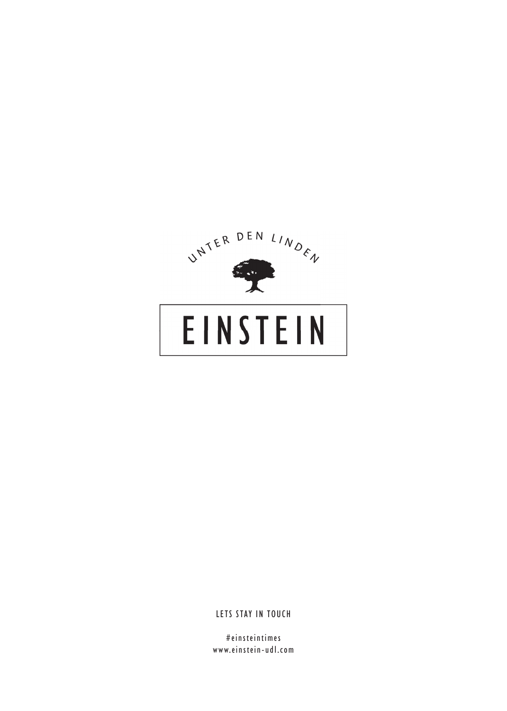

# **EINSTEIN**

LETS STAY IN TOUCH

#einsteintimes www.einstein-udl.com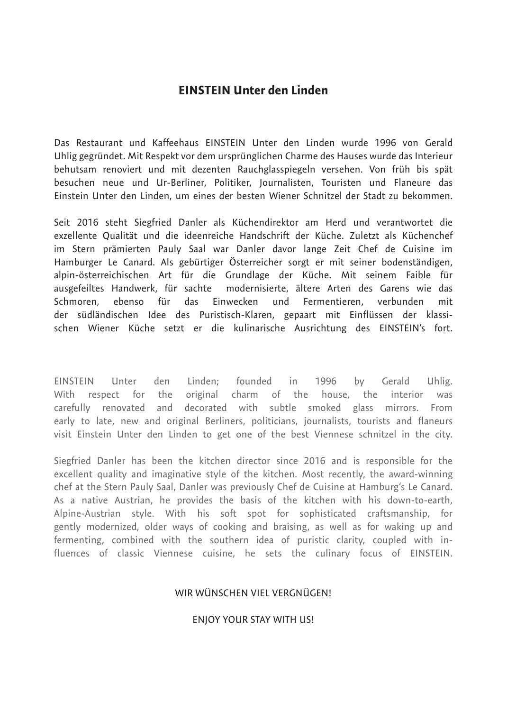### **EINSTEIN Unter den Linden**

Das Restaurant und Kaffeehaus EINSTEIN Unter den Linden wurde 1996 von Gerald Uhlig gegründet. Mit Respekt vor dem ursprünglichen Charme des Hauses wurde das Interieur behutsam renoviert und mit dezenten Rauchglasspiegeln versehen. Von früh bis spät besuchen neue und Ur-Berliner, Politiker, Journalisten, Touristen und Flaneure das Einstein Unter den Linden, um eines der besten Wiener Schnitzel der Stadt zu bekommen.

Seit 2016 steht Siegfried Danler als Küchendirektor am Herd und verantwortet die exzellente Qualität und die ideenreiche Handschrift der Küche. Zuletzt als Küchenchef im Stern prämierten Pauly Saal war Danler davor lange Zeit Chef de Cuisine im Hamburger Le Canard. Als gebürtiger Österreicher sorgt er mit seiner bodenständigen, alpin-österreichischen Art für die Grundlage der Küche. Mit seinem Faible für ausgefeiltes Handwerk, für sachte modernisierte, ältere Arten des Garens wie das Schmoren, ebenso für das Einwecken und Fermentieren, verbunden mit der südländischen Idee des Puristisch-Klaren, gepaart mit Einflüssen der klassischen Wiener Küche setzt er die kulinarische Ausrichtung des EINSTEIN's fort.

EINSTEIN Unter den Linden; founded in 1996 by Gerald Uhlig. With respect for the original charm of the house, the interior was carefully renovated and decorated with subtle smoked glass mirrors. From early to late, new and original Berliners, politicians, journalists, tourists and flaneurs visit Einstein Unter den Linden to get one of the best Viennese schnitzel in the city.

Siegfried Danler has been the kitchen director since 2016 and is responsible for the excellent quality and imaginative style of the kitchen. Most recently, the award-winning chef at the Stern Pauly Saal, Danler was previously Chef de Cuisine at Hamburg's Le Canard. As a native Austrian, he provides the basis of the kitchen with his down-to-earth, Alpine-Austrian style. With his soft spot for sophisticated craftsmanship, for gently modernized, older ways of cooking and braising, as well as for waking up and fermenting, combined with the southern idea of puristic clarity, coupled with influences of classic Viennese cuisine, he sets the culinary focus of EINSTEIN.

### WIR WÜNSCHEN VIEL VERGNÜGEN!

#### ENJOY YOUR STAY WITH US!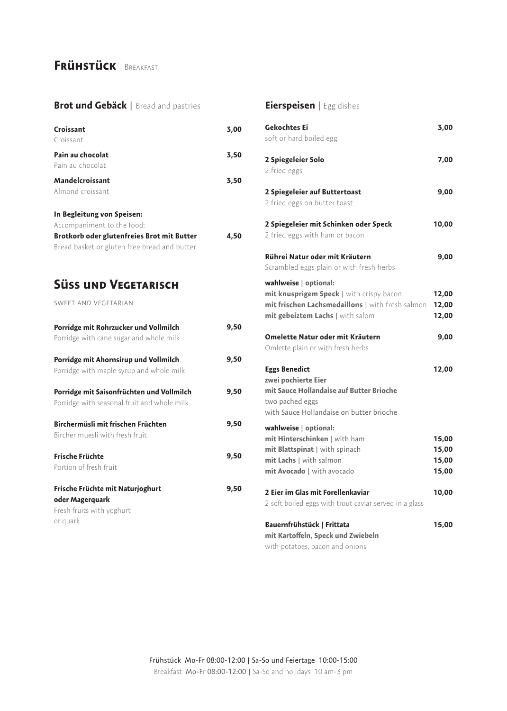### **Frühstück** Breakfast

#### **Brot und Gebäck** | Bread and pastries

| Croissant<br>Croissant                                                                       | 3,00 |
|----------------------------------------------------------------------------------------------|------|
| Pain au chocolat<br>Pain au chocolat                                                         | 3,50 |
| Mandelcroissant<br>Almond croissant                                                          | 3,50 |
| In Begleitung von Speisen:<br>Accompaniment to the food:                                     |      |
| Brotkorb oder glutenfreies Brot mit Butter<br>Bread basket or gluten free bread and butter   | 4.50 |
| <b>SÜSS UND VEGETARISCH</b>                                                                  |      |
| SWEET AND VEGETARIAN                                                                         |      |
| Porridge mit Rohrzucker und Vollmilch<br>Porridge with cane sugar and whole milk             | 9,50 |
| Porridge mit Ahornsirup und Vollmilch<br>Porridge with maple syrup and whole milk            | 9,50 |
| Porridge mit Saisonfrüchten und Vollmilch<br>Porridge with seasonal fruit and whole milk     | 9.50 |
| Birchermüsli mit frischen Früchten<br>Bircher muesli with fresh fruit                        | 9,50 |
| <b>Frische Früchte</b><br>Portion of fresh fruit                                             | 9,50 |
| Frische Früchte mit Naturjoghurt<br>oder Magerquark<br>Fresh fruits with yoghurt<br>or quark | 9,50 |
|                                                                                              |      |

### **Eierspeisen** | Egg dishes

| <b>Gekochtes Ei</b><br>soft or hard boiled egg                                                                                                            | 3,00                             |
|-----------------------------------------------------------------------------------------------------------------------------------------------------------|----------------------------------|
| 2 Spiegeleier Solo<br>2 fried eggs                                                                                                                        | 7,00                             |
| 2 Spiegeleier auf Buttertoast<br>2 fried eggs on butter toast                                                                                             | 9,00                             |
| 2 Spiegeleier mit Schinken oder Speck<br>2 fried eggs with ham or bacon                                                                                   | 10,00                            |
| Rührei Natur oder mit Kräutern<br>Scrambled eggs plain or with fresh herbs                                                                                | 9,00                             |
| wahlweise   optional:<br>mit knusprigem Speck   with crispy bacon<br>mit frischen Lachsmedaillons   with fresh salmon<br>mit gebeiztem Lachs   with salom | 12,00<br>12,00<br>12,00          |
| Omelette Natur oder mit Kräutern<br>Omlette plain or with fresh herbs                                                                                     | 9,00                             |
|                                                                                                                                                           | 12,00                            |
| <b>Eggs Benedict</b><br>zwei pochierte Eier<br>mit Sauce Hollandaise auf Butter Brioche<br>two pached eggs<br>with Sauce Hollandaise on butter brioche    |                                  |
| wahlweise   optional:<br>mit Hinterschinken   with ham<br>mit Blattspinat   with spinach<br>mit Lachs   with salmon<br>mit Avocado   with avocado         | 15,00<br>15,00<br>15,00<br>15,00 |
| 2 Eier im Glas mit Forellenkaviar<br>2 soft boiled eggs with trout caviar served in a glass                                                               | 10,00                            |

**mit Kartoffeln, Speck und Zwiebeln** with potatoes, bacon and onions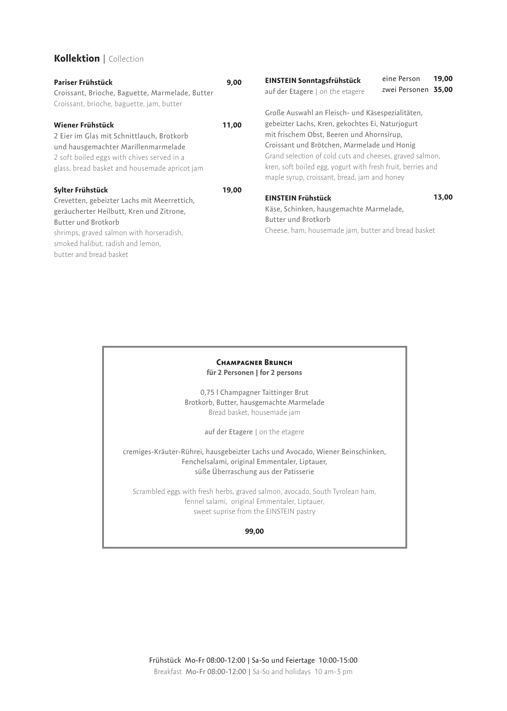#### **Kollektion** | Collection

| Pariser Frühstück<br>Croissant, Brioche, Baguette, Marmelade, Butter<br>Croissant, brioche, baguette, jam, butter                                                                                                                              | 9,00  | EINSTEIN Sonntagsfrühstück<br>auf der Etagere   on the etagere                                                                                                                                                                                                                                                                                                              | 19,00<br>eine Person<br>zwei Personen 35,00 |
|------------------------------------------------------------------------------------------------------------------------------------------------------------------------------------------------------------------------------------------------|-------|-----------------------------------------------------------------------------------------------------------------------------------------------------------------------------------------------------------------------------------------------------------------------------------------------------------------------------------------------------------------------------|---------------------------------------------|
| Wiener Frühstück<br>2 Eier im Glas mit Schnittlauch, Brotkorb<br>und hausgemachter Marillenmarmelade<br>2 soft boiled eggs with chives served in a<br>glass, bread basket and housemade apricot jam                                            | 11,00 | Große Auswahl an Fleisch- und Käsespezialitäten,<br>gebeizter Lachs, Kren, gekochtes Ei, Naturjogurt<br>mit frischem Obst, Beeren und Ahornsirup,<br>Croissant und Brötchen, Marmelade und Honig<br>Grand selection of cold cuts and cheeses, graved salmon,<br>kren, soft boiled egg, yogurt with fresh fruit, berries and<br>maple syrup, croissant, bread, jam and honey |                                             |
| Sylter Frühstück<br>Crevetten, gebeizter Lachs mit Meerrettich,<br>geräucherter Heilbutt, Kren und Zitrone,<br>Butter und Brotkorb<br>shrimps, graved salmon with horseradish,<br>smoked halibut, radish and lemon,<br>butter and bread basket | 19,00 | <b>EINSTEIN Frühstück</b><br>Käse, Schinken, hausgemachte Marmelade,<br>Butter und Brotkorb<br>Cheese, ham, housemade jam, butter and bread basket                                                                                                                                                                                                                          | 13,00                                       |

#### **Champagner Brunch für 2 Personen | for 2 persons**

0,75 l Champagner Taittinger Brut Brotkorb, Butter, hausgemachte Marmelade Bread basket, housemade jam

auf der Etagere | on the etagere

cremiges-Kräuter-Rührei, hausgebeizter Lachs und Avocado, Wiener Beinschinken, Fenchelsalami, original Emmentaler, Liptauer, süße Überraschung aus der Patisserie

Scrambled eggs with fresh herbs, graved salmon, avocado, South Tyrolean ham, fennel salami, original Emmentaler, Liptauer, sweet suprise from the EINSTEIN pastry

#### **99,00**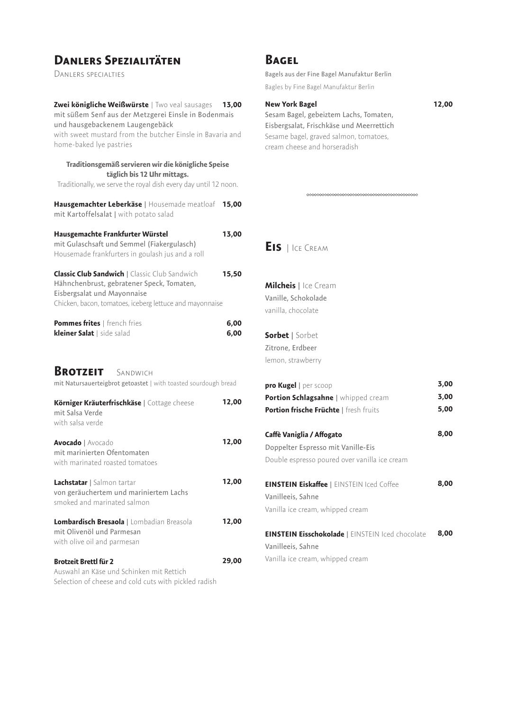### **Danlers Spezialitäten**

Danlers specialties

| Zwei königliche Weißwürste   Two veal sausages<br>mit süßem Senf aus der Metzgerei Einsle in Bodenmais<br>und hausgebackenem Laugengebäck                                                    | 13,00        |
|----------------------------------------------------------------------------------------------------------------------------------------------------------------------------------------------|--------------|
| with sweet mustard from the butcher Einsle in Bavaria and<br>home-baked lye pastries                                                                                                         |              |
| Traditionsgemäß servieren wir die königliche Speise<br>täglich bis 12 Uhr mittags.<br>Traditionally, we serve the royal dish every day until 12 noon.                                        |              |
| Hausgemachter Leberkäse   Housemade meatloaf<br>mit Kartoffelsalat   with potato salad                                                                                                       | 15,00        |
| Hausgemachte Frankfurter Würstel<br>mit Gulaschsaft und Semmel (Fiakergulasch)<br>Housemade frankfurters in goulash jus and a roll                                                           | 13,00        |
| <b>Classic Club Sandwich   Classic Club Sandwich</b><br>Hähnchenbrust, gebratener Speck, Tomaten,<br>Eisbergsalat und Mayonnaise<br>Chicken, bacon, tomatoes, iceberg lettuce and mayonnaise | 15,50        |
| Pommes frites   french fries<br>kleiner Salat   side salad                                                                                                                                   | 6,00<br>6,00 |
| <b>BROTZEIT</b> SANDWICH<br>mit Natursauerteigbrot getoastet   with toasted sourdough bread                                                                                                  |              |
| Körniger Kräuterfrischkäse   Cottage cheese<br>mit Salsa Verde<br>with salsa verde                                                                                                           | 12,00        |
| <b>Avocado</b>   Avocado<br>mit marinierten Ofentomaten<br>with marinated roasted tomatoes                                                                                                   | 12,00        |
| Lachstatar   Salmon tartar<br>von geräuchertem und mariniertem Lachs<br>smoked and marinated salmon                                                                                          | 12,00        |
| Lombardisch Bresaola   Lombadian Breasola<br>mit Olivenöl und Parmesan<br>with olive oil and parmesan                                                                                        | 12,00        |
| <b>Brotzeit Brettl für 2</b><br>Auswahl an Käse und Schinken mit Rettich<br>Selection of cheese and cold cuts with pickled radish                                                            | 29,00        |

### **Bagel**

Bagels aus der Fine Bagel Manufaktur Berlin Bagles by Fine Bagel Manufaktur Berlin

#### **New York Bagel**

Sesam Bagel, gebeiztem Lachs, Tomaten, Eisbergsalat, Frischkäse und Meerrettich Sesame bagel, graved salmon, tomatoes, cream cheese and horseradish

**Eis** | Ice Cream

**Milcheis** | Ice Cream Vanille, Schokolade vanilla, chocolate

**Sorbet** | Sorbet Zitrone, Erdbeer lemon, strawberry

| pro Kugel   per scoop                                   | 3,00 |
|---------------------------------------------------------|------|
| <b>Portion Schlagsahne</b>   whipped cream              | 3,00 |
| <b>Portion frische Früchte   fresh fruits</b>           | 5,00 |
| Caffè Vaniglia / Affogato                               | 8,00 |
| Doppelter Espresso mit Vanille-Eis                      |      |
| Double espresso poured over vanilla ice cream           |      |
| <b>EINSTEIN Eiskaffee</b>   EINSTEIN Iced Coffee        | 8,00 |
| Vanilleeis, Sahne                                       |      |
| Vanilla ice cream, whipped cream                        |      |
| <b>EINSTEIN Eisschokolade   EINSTEIN Iced chocolate</b> | 8,00 |
| Vanilleeis, Sahne                                       |      |
| Vanilla ice cream, whipped cream                        |      |

**12,00**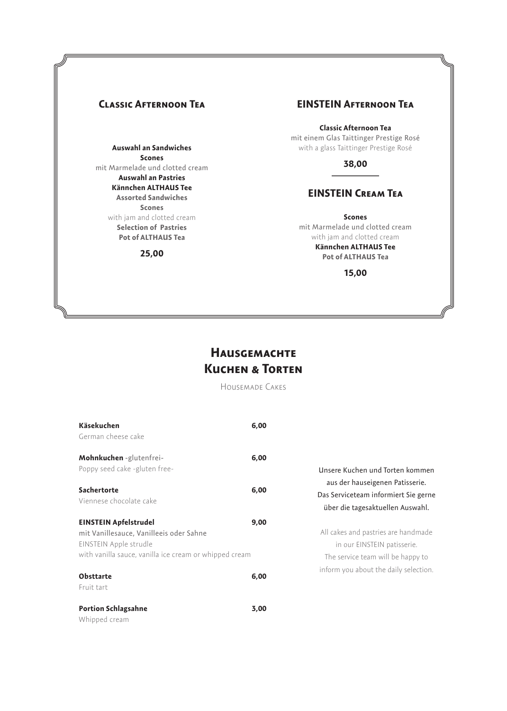#### **Auswahl an Sandwiches Scones** mit Marmelade und clotted cream **Auswahl an Pastries Kännchen ALTHAUS Tee Assorted Sandwiches Scones** with jam and clotted cream **Selection of Pastries Pot of ALTHAUS Tea**

#### **25,00**

#### **Classic Afternoon Tea EINSTEIN Afternoon Tea**

**Classic Afternoon Tea** mit einem Glas Taittinger Prestige Rosé with a glass Taittinger Prestige Rosé

**38,00**

### **EINSTEIN Cream Tea**

**Scones** mit Marmelade und clotted cream with jam and clotted cream **Kännchen ALTHAUS Tee**

> **Pot of ALTHAUS Tea 15,00**

### **Hausgemachte Kuchen & Torten**

Housemade Cakes

| Käsekuchen                                             | 6,00 |                                                                          |
|--------------------------------------------------------|------|--------------------------------------------------------------------------|
| German cheese cake                                     |      |                                                                          |
| Mohnkuchen-glutenfrei-                                 | 6,00 |                                                                          |
| Poppy seed cake -gluten free-                          |      | Unsere Kuchen und Torten kommen                                          |
| Sachertorte                                            | 6,00 | aus der hauseigenen Patisserie.                                          |
| Viennese chocolate cake                                |      | Das Serviceteam informiert Sie gerne<br>über die tagesaktuellen Auswahl. |
| <b>EINSTEIN Apfelstrudel</b>                           | 9,00 |                                                                          |
| mit Vanillesauce, Vanilleeis oder Sahne                |      | All cakes and pastries are handmade                                      |
| EINSTEIN Apple strudle                                 |      | in our EINSTEIN patisserie.                                              |
| with vanilla sauce, vanilla ice cream or whipped cream |      | The service team will be happy to                                        |
| <b>Obsttarte</b>                                       | 6,00 | inform you about the daily selection.                                    |
| Fruit tart                                             |      |                                                                          |
| <b>Portion Schlagsahne</b>                             | 3,00 |                                                                          |
|                                                        |      |                                                                          |

Whipped cream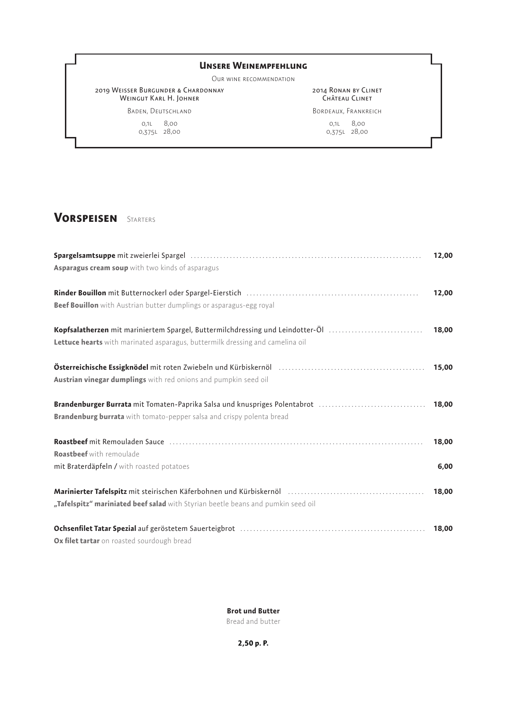#### **Unsere Weinempfehlung**

Our wine recommendation

2019 Weisser Burgunder & Chardonnay WEINGUT KARL H. JOHNER

2014 Ronan by Clinet CHÂTEAU CLINET

Baden, Deutschland

0,1l 8,00 0,375l 28,00 Bordeaux, Frankreich 0,1l 8,00 0,375l 28,00

### **Vorspeisen** Starters

|                                                                                                                                                                                                                                | 12,00 |
|--------------------------------------------------------------------------------------------------------------------------------------------------------------------------------------------------------------------------------|-------|
| Asparagus cream soup with two kinds of asparagus                                                                                                                                                                               |       |
|                                                                                                                                                                                                                                | 12,00 |
| Beef Bouillon with Austrian butter dumplings or asparagus-egg royal                                                                                                                                                            |       |
| Kopfsalatherzen mit mariniertem Spargel, Buttermilchdressing und Leindotter-Öl                                                                                                                                                 | 18,00 |
| Lettuce hearts with marinated asparagus, buttermilk dressing and camelina oil                                                                                                                                                  |       |
| Österreichische Essigknödel mit roten Zwiebeln und Kürbiskernöl [1988] [1988] [1988] [1988] [1988] [1988] [198                                                                                                                 | 15,00 |
| Austrian vinegar dumplings with red onions and pumpkin seed oil                                                                                                                                                                |       |
| Brandenburger Burrata mit Tomaten-Paprika Salsa und knuspriges Polentabrot                                                                                                                                                     | 18,00 |
| <b>Brandenburg burrata</b> with tomato-pepper salsa and crispy polenta bread                                                                                                                                                   |       |
|                                                                                                                                                                                                                                | 18,00 |
| <b>Roastbeef</b> with remoulade                                                                                                                                                                                                |       |
| mit Braterdäpfeln / with roasted potatoes                                                                                                                                                                                      | 6,00  |
| Marinierter Tafelspitz mit steirischen Käferbohnen und Kürbiskernöl [11] [11] [11] [11] Marinierter Tafelspitz mit steirischen Käferbohnen und Kürbiskernöl [11] [11] [11] [12] Marinierter Marinierter Marinierter Marinierte | 18,00 |
| "Tafelspitz" mariniated beef salad with Styrian beetle beans and pumkin seed oil                                                                                                                                               |       |
| Ochsenfilet Tatar Spezial auf geröstetem Sauerteigbrot (and all and all and all and all and all and all and all and all and all and all and all and all and all and all and all and all and all and all and all and all and al | 18,00 |
| Ox filet tartar on roasted sourdough bread                                                                                                                                                                                     |       |

#### **Brot und Butter**

Bread and butter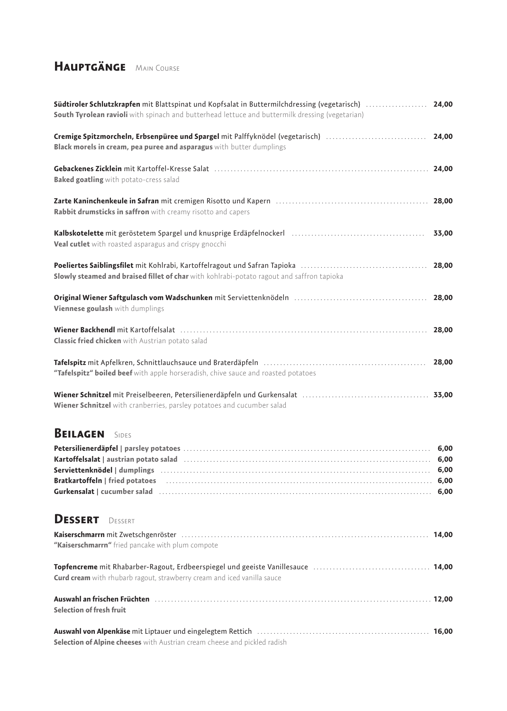### **Hauptgänge** Main Course

| <b>Südtiroler Schlutzkrapfen</b> mit Blattspinat und Kopfsalat in Buttermilchdressing (vegetarisch)<br>South Tyrolean ravioli with spinach and butterhead lettuce and buttermilk dressing (vegetarian)                                                                          | 24,00                                |
|---------------------------------------------------------------------------------------------------------------------------------------------------------------------------------------------------------------------------------------------------------------------------------|--------------------------------------|
| Cremige Spitzmorcheln, Erbsenpüree und Spargel mit Palffyknödel (vegetarisch)<br>Black morels in cream, pea puree and asparagus with butter dumplings                                                                                                                           | 24,00                                |
| Gebackenes Zicklein mit Kartoffel-Kresse Salat (1999) (24,00 minutes) and the Capackenes Zicklein mit Kartoffel-Kresse Salat (1999) (34,00 minutes) (34,00 minutes) (34,00 minutes) (34,00 minutes) (34,00 minutes) (34,00 min<br><b>Baked goatling</b> with potato-cress salad |                                      |
| Rabbit drumsticks in saffron with creamy risotto and capers                                                                                                                                                                                                                     |                                      |
| Veal cutlet with roasted asparagus and crispy gnocchi                                                                                                                                                                                                                           | 33,00                                |
| Slowly steamed and braised fillet of char with kohlrabi-potato ragout and saffron tapioka                                                                                                                                                                                       | 28,00                                |
| Original Wiener Saftgulasch vom Wadschunken mit Serviettenknödeln [11] University Missouri Missouri Missouri M<br>Viennese goulash with dumplings                                                                                                                               | 28,00                                |
| Wiener Backhendl mit Kartoffelsalat (1999) 18,000 Minutes and Michael Michael Michael Michael Michael Michael M<br><b>Classic fried chicken</b> with Austrian potato salad                                                                                                      |                                      |
| "Tafelspitz" boiled beef with apple horseradish, chive sauce and roasted potatoes                                                                                                                                                                                               | 28,00                                |
| Wiener Schnitzel with cranberries, parsley potatoes and cucumber salad                                                                                                                                                                                                          |                                      |
| <b>BEILAGEN</b> SIDES                                                                                                                                                                                                                                                           | 6,00<br>6,00<br>6,00<br>6,00<br>6,00 |
| <b>DESSERT</b><br>DESSERT                                                                                                                                                                                                                                                       |                                      |
| "Kaiserschmarrn" fried pancake with plum compote                                                                                                                                                                                                                                |                                      |
| <b>Curd cream</b> with rhubarb ragout, strawberry cream and iced vanilla sauce                                                                                                                                                                                                  |                                      |
| Auswahl an frischen Früchten Matter and Australian Matter and Tag and Auswahl an frischen Tagoo<br>Selection of fresh fruit                                                                                                                                                     |                                      |
| Selection of Alpine cheeses with Austrian cream cheese and pickled radish                                                                                                                                                                                                       |                                      |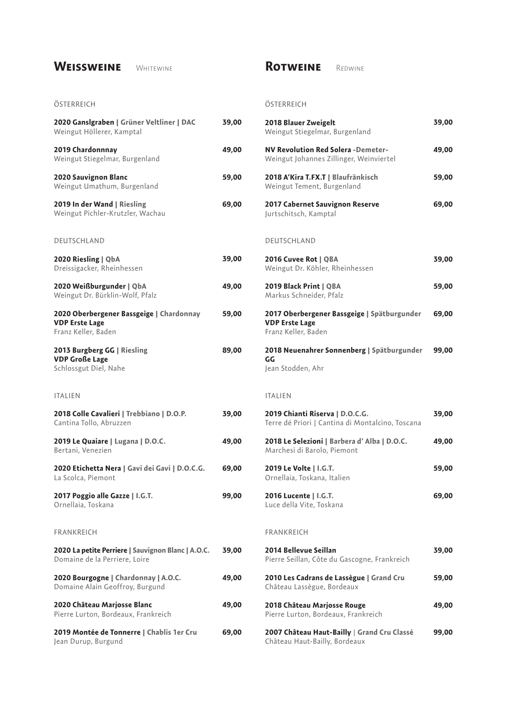### WEISSWEINE WHITEWINE

**ÖSTERREICH** 

### **Rotweine** Redwine

**ÖSTERREICH** 

| 2018 Blauer Zweigelt<br>Weingut Stiegelmar, Burgenland                                      | 39,00 |
|---------------------------------------------------------------------------------------------|-------|
| <b>NV Revolution Red Solera -Demeter-</b><br>Weingut Johannes Zillinger, Weinviertel        | 49,00 |
| 2018 A'Kira T.FX.T   Blaufränkisch<br>Weingut Tement, Burgenland                            | 59,00 |
| 2017 Cabernet Sauvignon Reserve<br>Jurtschitsch, Kamptal                                    | 69,00 |
| DEUTSCHLAND                                                                                 |       |
| 2016 Cuvee Rot   QBA<br>Weingut Dr. Köhler, Rheinhessen                                     | 39,00 |
| 2019 Black Print   QBA<br>Markus Schneider, Pfalz                                           | 59,00 |
| 2017 Oberbergener Bassgeige   Spätburgunder<br><b>VDP Erste Lage</b><br>Franz Keller, Baden | 69,00 |
| 2018 Neuenahrer Sonnenberg   Spätburgunder<br>GG<br>Jean Stodden, Ahr                       | 99,00 |
| <b>ITALIEN</b>                                                                              |       |
| 2019 Chianti Riserva   D.O.C.G.<br>Terre dé Priori   Cantina di Montalcino, Toscana         | 39,00 |
| 2018 Le Selezioni   Barbera d'Alba   D.O.C.<br>Marchesi di Barolo, Piemont                  | 49,00 |
| 2019 Le Volte   I.G.T.<br>Ornellaia, Toskana, Italien                                       | 59,00 |
| 2016 Lucente   I.G.T.<br>Luce della Vite, Toskana                                           | 69,00 |
| <b>FRANKREICH</b>                                                                           |       |
| 2014 Bellevue Seillan<br>Pierre Seillan, Côte du Gascogne, Frankreich                       | 39,00 |
| 2010 Les Cadrans de Lassègue   Grand Cru<br>Château Lassègue, Bordeaux                      | 59,00 |
| 2018 Château Marjosse Rouge<br>Pierre Lurton, Bordeaux, Frankreich                          | 49,00 |
| 2007 Château Haut-Bailly   Grand Cru Classé<br>Château Haut-Bailly, Bordeaux                | 99,00 |

| 2020 Ganslgraben   Grüner Veltliner   DAC<br>Weingut Höllerer, Kamptal                   | 39,00 |
|------------------------------------------------------------------------------------------|-------|
| 2019 Chardonnnay<br>Weingut Stiegelmar, Burgenland                                       | 49,00 |
| 2020 Sauvignon Blanc<br>Weingut Umathum, Burgenland                                      | 59,00 |
| 2019 In der Wand   Riesling<br>Weingut Pichler-Krutzler, Wachau                          | 69,00 |
| DEUTSCHLAND                                                                              |       |
| 2020 Riesling   QbA<br>Dreissigacker, Rheinhessen                                        | 39,00 |
| 2020 Weißburgunder   QbA<br>Weingut Dr. Bürklin-Wolf, Pfalz                              | 49,00 |
| 2020 Oberbergener Bassgeige   Chardonnay<br><b>VDP Erste Lage</b><br>Franz Keller, Baden | 59,00 |
| 2013 Burgberg GG   Riesling<br><b>VDP Große Lage</b><br>Schlossgut Diel, Nahe            | 89,00 |
| <b>ITALIEN</b>                                                                           |       |
| 2018 Colle Cavalieri   Trebbiano   D.O.P.<br>Cantina Tollo, Abruzzen                     | 39,00 |
| 2019 Le Quaiare   Lugana   D.O.C.<br>Bertani, Venezien                                   | 49,00 |
| 2020 Etichetta Nera   Gavi dei Gavi   D.O.C.G.<br>La Scolca, Piemont                     | 69,00 |
| 2017 Poggio alle Gazze   I.G.T.<br>Ornellaia, Toskana                                    | 99,00 |
| FRANKREICH                                                                               |       |
| 2020 La petite Perriere   Sauvignon Blanc   A.O.C.<br>Domaine de la Perriere, Loire      | 39,00 |
| 2020 Bourgogne   Chardonnay   A.O.C.<br>Domaine Alain Geoffroy, Burgund                  | 49,00 |
| 2020 Château Marjosse Blanc<br>Pierre Lurton, Bordeaux, Frankreich                       | 49,00 |
| 2019 Montée de Tonnerre   Chablis 1er Cru<br>Jean Durup, Burgund                         | 69,00 |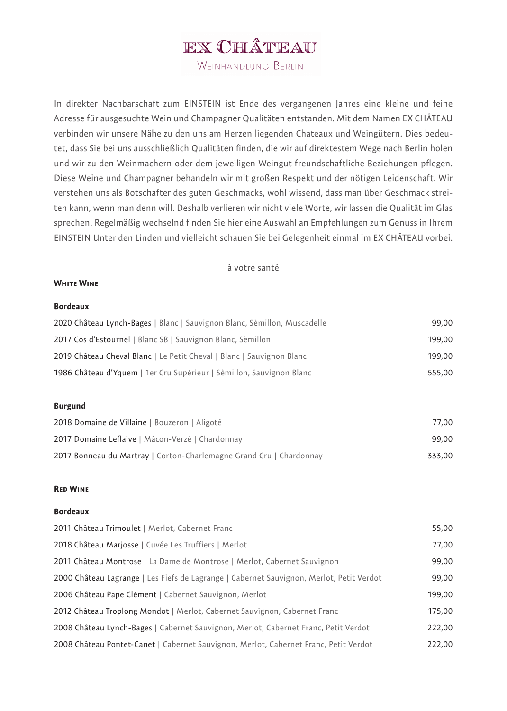## EX CHÂTEAU

WEINHANDLUNG BERLIN

In direkter Nachbarschaft zum EINSTEIN ist Ende des vergangenen Jahres eine kleine und feine Adresse für ausgesuchte Wein und Champagner Qualitäten entstanden. Mit dem Namen EX CHÂTEAU verbinden wir unsere Nähe zu den uns am Herzen liegenden Chateaux und Weingütern. Dies bedeutet, dass Sie bei uns ausschließlich Qualitäten finden, die wir auf direktestem Wege nach Berlin holen und wir zu den Weinmachern oder dem jeweiligen Weingut freundschaftliche Beziehungen pflegen. Diese Weine und Champagner behandeln wir mit großen Respekt und der nötigen Leidenschaft. Wir verstehen uns als Botschafter des guten Geschmacks, wohl wissend, dass man über Geschmack streiten kann, wenn man denn will. Deshalb verlieren wir nicht viele Worte, wir lassen die Qualität im Glas sprechen. Regelmäßig wechselnd finden Sie hier eine Auswahl an Empfehlungen zum Genuss in Ihrem EINSTEIN Unter den Linden und vielleicht schauen Sie bei Gelegenheit einmal im EX CHÂTEAU vorbei.

#### à votre santé

#### **White Wine**

#### **Bordeaux**

| 2020 Château Lynch-Bages   Blanc   Sauvignon Blanc, Sèmillon, Muscadelle | 99.00  |
|--------------------------------------------------------------------------|--------|
| 2017 Cos d'Estournel   Blanc SB   Sauvignon Blanc, Sèmillon              | 199.00 |
| 2019 Château Cheval Blanc   Le Petit Cheval   Blanc   Sauvignon Blanc    | 199.00 |
| 1986 Château d'Yquem   1er Cru Supérieur   Sèmillon, Sauvignon Blanc     | 555.00 |

#### **Burgund**

| 2018 Domaine de Villaine   Bouzeron   Aligoté                       | 77.00  |
|---------------------------------------------------------------------|--------|
| 2017 Domaine Leflaive   Mâcon-Verzé   Chardonnay                    | 99.00  |
| 2017 Bonneau du Martray   Corton-Charlemagne Grand Cru   Chardonnay | 333.00 |

#### **Red Wine**

#### **Bordeaux**

| 2011 Château Trimoulet   Merlot, Cabernet Franc                                          | 55,00  |
|------------------------------------------------------------------------------------------|--------|
| 2018 Château Marjosse   Cuvée Les Truffiers   Merlot                                     | 77,00  |
| 2011 Château Montrose   La Dame de Montrose   Merlot, Cabernet Sauvignon                 | 99,00  |
| 2000 Château Lagrange   Les Fiefs de Lagrange   Cabernet Sauvignon, Merlot, Petit Verdot | 99,00  |
| 2006 Château Pape Clément   Cabernet Sauvignon, Merlot                                   | 199,00 |
| 2012 Château Troplong Mondot   Merlot, Cabernet Sauvignon, Cabernet Franc                | 175,00 |
| 2008 Château Lynch-Bages   Cabernet Sauvignon, Merlot, Cabernet Franc, Petit Verdot      | 222,00 |
| 2008 Château Pontet-Canet   Cabernet Sauvignon, Merlot, Cabernet Franc, Petit Verdot     | 222,00 |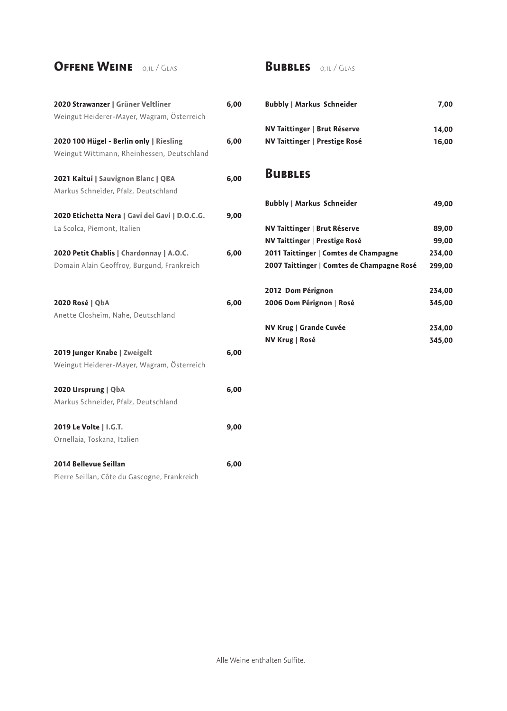### **Offene Weine** 0,1l / Glas

| 2020 Strawanzer   Grüner Veltliner             | 6,00 |
|------------------------------------------------|------|
| Weingut Heiderer-Mayer, Wagram, Österreich     |      |
| 2020 100 Hügel - Berlin only   Riesling        | 6,00 |
| Weingut Wittmann, Rheinhessen, Deutschland     |      |
| 2021 Kaitui   Sauvignon Blanc   QBA            | 6,00 |
| Markus Schneider, Pfalz, Deutschland           |      |
| 2020 Etichetta Nera   Gavi dei Gavi   D.O.C.G. | 9,00 |
| La Scolca, Piemont, Italien                    |      |
| 2020 Petit Chablis   Chardonnay   A.O.C.       | 6,00 |
| Domain Alain Geoffroy, Burgund, Frankreich     |      |
|                                                |      |
| 2020 Rosé   QbA                                | 6,00 |
| Anette Closheim, Nahe, Deutschland             |      |
|                                                |      |
| 2019 Junger Knabe   Zweigelt                   | 6,00 |
| Weingut Heiderer-Mayer, Wagram, Österreich     |      |
| 2020 Ursprung   QbA                            | 6,00 |
| Markus Schneider, Pfalz, Deutschland           |      |
| 2019 Le Volte   I.G.T.                         | 9,00 |
| Ornellaia, Toskana, Italien                    |      |
| 2014 Bellevue Seillan                          | 6,00 |
| Pierre Seillan, Côte du Gascogne, Frankreich   |      |
|                                                |      |

### **Bubbles** 0,1l / Glas

| <b>Bubbly   Markus Schneider</b> | 7.00  |
|----------------------------------|-------|
| NV Taittinger   Brut Réserve     | 14.00 |
| NV Taittinger   Prestige Rosé    | 16,00 |

### **Bubbles**

| <b>Bubbly   Markus Schneider</b>           | 49,00  |
|--------------------------------------------|--------|
| NV Taittinger   Brut Réserve               | 89,00  |
| <b>NV Taittinger   Prestige Rosé</b>       | 99,00  |
| 2011 Taittinger   Comtes de Champagne      | 234,00 |
| 2007 Taittinger   Comtes de Champagne Rosé | 299,00 |
|                                            |        |
| 2012 Dom Pérignon                          | 234,00 |
| 2006 Dom Pérignon   Rosé                   | 345,00 |
|                                            |        |
| NV Krug   Grande Cuvée                     | 234,00 |
| NV Krug   Rosé                             | 345,00 |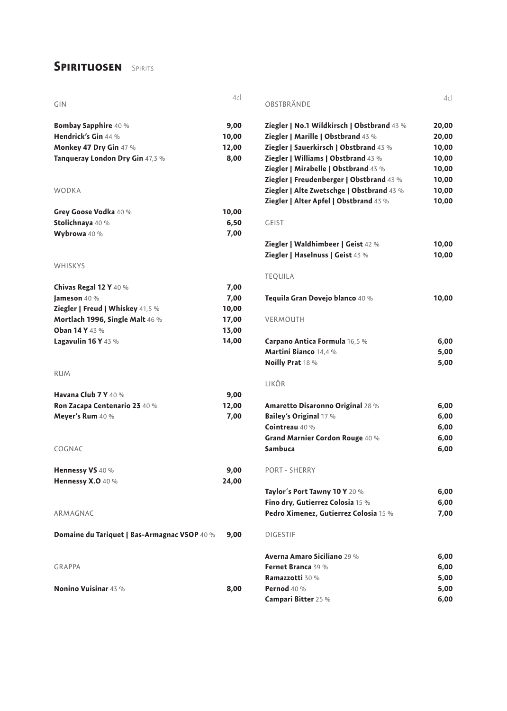### **SPIRITUOSEN** SPIRITS

|                                              | 4c    | OBSTBRÄNDE                                 | 4c    |
|----------------------------------------------|-------|--------------------------------------------|-------|
| GIN                                          |       |                                            |       |
| Bombay Sapphire 40 %                         | 9,00  | Ziegler   No.1 Wildkirsch   Obstbrand 43 % | 20,00 |
| Hendrick's Gin 44 %                          | 10,00 | Ziegler   Marille   Obstbrand 43 %         | 20,00 |
| Monkey 47 Dry Gin 47 %                       | 12,00 | Ziegler   Sauerkirsch   Obstbrand 43 %     | 10,00 |
| Tanqueray London Dry Gin 47,3 %              | 8,00  | Ziegler   Williams   Obstbrand 43 %        | 10,00 |
|                                              |       | Ziegler   Mirabelle   Obstbrand 43 %       | 10,00 |
|                                              |       | Ziegler   Freudenberger   Obstbrand 43 %   | 10,00 |
| <b>WODKA</b>                                 |       | Ziegler   Alte Zwetschge   Obstbrand 43 %  | 10,00 |
|                                              |       | Ziegler   Alter Apfel   Obstbrand 43 %     | 10,00 |
| Grey Goose Vodka 40 %                        | 10,00 |                                            |       |
| Stolichnaya 40 %                             | 6,50  | <b>GEIST</b>                               |       |
| Wybrowa 40 %                                 | 7,00  |                                            |       |
|                                              |       | Ziegler   Waldhimbeer   Geist 42 %         | 10,00 |
|                                              |       | Ziegler   Haselnuss   Geist 43 %           | 10,00 |
| <b>WHISKYS</b>                               |       |                                            |       |
|                                              |       | <b>TEQUILA</b>                             |       |
| Chivas Regal 12 Y 40 %                       | 7,00  |                                            |       |
| Jameson 40 %                                 | 7,00  | Tequila Gran Dovejo blanco 40 %            | 10,00 |
| Ziegler   Freud   Whiskey 41,5 %             | 10,00 |                                            |       |
| Mortlach 1996, Single Malt 46 %              | 17,00 | <b>VERMOUTH</b>                            |       |
| Oban 14 Y 43 %                               | 13,00 |                                            |       |
| Lagavulin 16 Y 43 %                          | 14,00 | Carpano Antica Formula 16,5 %              | 6,00  |
|                                              |       | Martini Bianco 14,4 %                      | 5,00  |
|                                              |       | Noilly Prat 18 %                           | 5,00  |
| <b>RUM</b>                                   |       |                                            |       |
|                                              |       | LIKÖR                                      |       |
| Havana Club 7 Y 40 %                         | 9,00  |                                            |       |
| Ron Zacapa Centenario 23 40 %                | 12,00 | Amaretto Disaronno Original 28 %           | 6,00  |
| Meyer's Rum 40 %                             | 7,00  | Bailey's Original 17 %                     | 6,00  |
|                                              |       | Cointreau 40 %                             | 6,00  |
|                                              |       | Grand Marnier Cordon Rouge 40 %            | 6,00  |
| COGNAC                                       |       | Sambuca                                    | 6,00  |
| Hennessy VS 40 %                             | 9,00  | PORT - SHERRY                              |       |
| Hennessy X.O 40 %                            | 24,00 |                                            |       |
|                                              |       | Taylor's Port Tawny 10 Y 20 %              | 6,00  |
|                                              |       | Fino dry, Gutierrez Colosia 15 %           | 6,00  |
| ARMAGNAC                                     |       | Pedro Ximenez, Gutierrez Colosia 15 %      | 7,00  |
|                                              |       |                                            |       |
| Domaine du Tariquet   Bas-Armagnac VSOP 40 % | 9,00  | <b>DIGESTIF</b>                            |       |
|                                              |       | Averna Amaro Siciliano 29 %                | 6,00  |
| <b>GRAPPA</b>                                |       | Fernet Branca 39 %                         | 6,00  |
|                                              |       | Ramazzotti 30 %                            | 5,00  |
| <b>Nonino Vuisinar 43 %</b>                  | 8,00  | Pernod 40 %                                | 5,00  |
|                                              |       | Campari Bitter 25 %                        | 6,00  |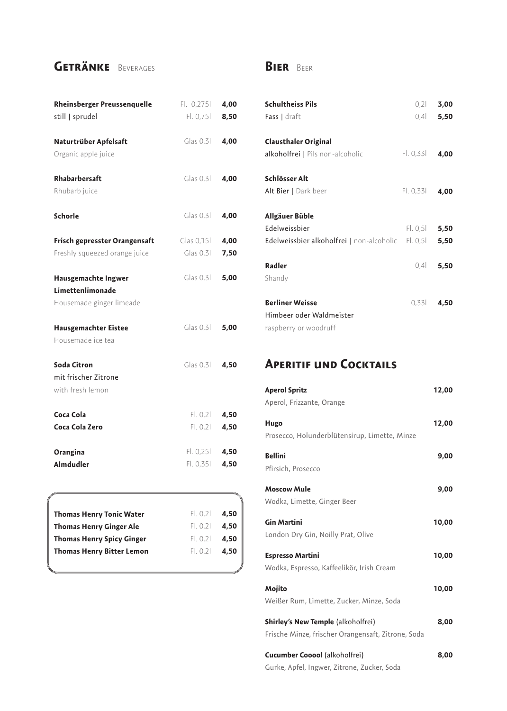### **Getränke** Beverages

### **Bier** Beer

| <b>Rheinsberger Preussenquelle</b><br>still   sprudel | F1. 0,2751<br>Fl. 0,751 | 4,00<br>8,50 |
|-------------------------------------------------------|-------------------------|--------------|
| Naturtrüber Apfelsaft<br>Organic apple juice          | Class 0, 31             | 4,00         |
| Rhabarbersaft<br>Rhubarb juice                        | Class 0.31              | 4,00         |
| Schorle                                               | Class 0,31              | 4,00         |
| Frisch gepresster Orangensaft                         | Glas 0,15l              | 4,00         |
| Freshly squeezed orange juice                         | Glas $0,3$              | 7,50         |
| Hausgemachte Ingwer                                   | Class 0.31              | 5,00         |
| Limettenlimonade                                      |                         |              |
| Housemade ginger limeade                              |                         |              |
| Hausgemachter Eistee                                  | Class 0.31              | 5,00         |
| Housemade ice tea                                     |                         |              |
| Soda Citron                                           | Class 0,31              | 4,50         |
| mit frischer Zitrone                                  |                         |              |
| with fresh lemon                                      |                         |              |
| Coca Cola                                             | FI. 0, 2I               | 4,50         |
| Coca Cola Zero                                        | FI. 0,21                | 4,50         |
| Orangina                                              | FI. 0,25I               | 4,50         |
| <b>Almdudler</b>                                      | FI. 0,351               | 4,50         |

| <b>Thomas Henry Tonic Water</b>  | FI. 0.21 | 4,50 |
|----------------------------------|----------|------|
| <b>Thomas Henry Ginger Ale</b>   | FI. 0.21 | 4.50 |
| <b>Thomas Henry Spicy Ginger</b> | FI. 0.21 | 4.50 |
| <b>Thomas Henry Bitter Lemon</b> | F L 0.21 | 4.50 |
|                                  |          |      |

| <b>Schultheiss Pils</b><br><b>Fass</b> $ $ draft                                    | 0,21<br>0,41         | 3,00<br>5,50 |
|-------------------------------------------------------------------------------------|----------------------|--------------|
| <b>Clausthaler Original</b><br>alkoholfrei   Pils non-alcoholic                     | Fl. 0,33l            | 4,00         |
| Schlösser Alt<br>Alt Bier   Dark beer                                               | Fl. 0,33l            | 4,00         |
| Allgäuer Büble<br><b>Edelweissbier</b><br>Edelweissbier alkoholfrei   non-alcoholic | Fl. 0,51<br>Fl. 0,51 | 5,50<br>5,50 |
| Radler<br>Shandy                                                                    | 0.4                  | 5.50         |
| <b>Berliner Weisse</b><br>Himbeer oder Waldmeister<br>raspberry or woodruff         | 0.33                 | 4,50         |

### **Aperitif und Cocktails**

| <b>Aperol Spritz</b>                               | 12,00 |
|----------------------------------------------------|-------|
| Aperol, Frizzante, Orange                          |       |
| Hugo                                               | 12,00 |
| Prosecco, Holunderblütensirup, Limette, Minze      |       |
| <b>Bellini</b>                                     | 9,00  |
| Pfirsich, Prosecco                                 |       |
| <b>Moscow Mule</b>                                 | 9,00  |
| Wodka, Limette, Ginger Beer                        |       |
| <b>Gin Martini</b>                                 | 10,00 |
| London Dry Gin, Noilly Prat, Olive                 |       |
| <b>Espresso Martini</b>                            | 10,00 |
| Wodka, Espresso, Kaffeelikör, Irish Cream          |       |
| Mojito                                             | 10,00 |
| Weißer Rum, Limette, Zucker, Minze, Soda           |       |
| <b>Shirley's New Temple</b> (alkoholfrei)          | 8,00  |
| Frische Minze, frischer Orangensaft, Zitrone, Soda |       |
| <b>Cucumber Cooool</b> (alkoholfrei)               | 8,00  |

Gurke, Apfel, Ingwer, Zitrone, Zucker, Soda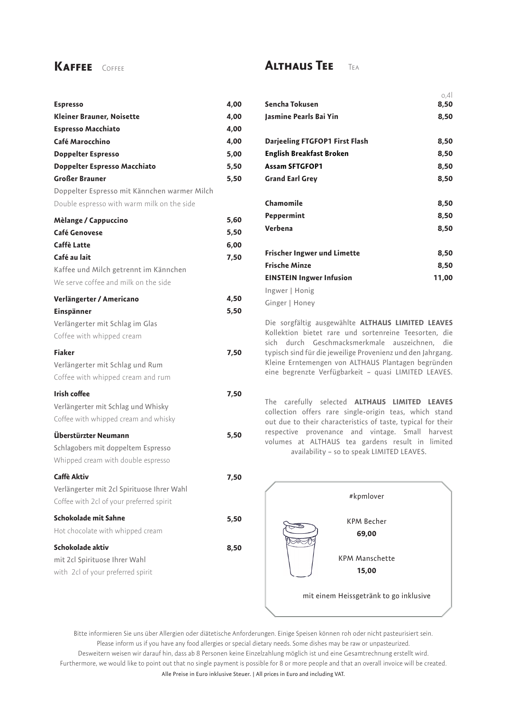### **Kaffee** Coffee

| <b>Espresso</b>                              | 4,00 |
|----------------------------------------------|------|
| Kleiner Brauner, Noisette                    | 4,00 |
| <b>Espresso Macchiato</b>                    | 4,00 |
| Café Marocchino                              | 4,00 |
| <b>Doppelter Espresso</b>                    | 5,00 |
| Doppelter Espresso Macchiato                 | 5,50 |
| <b>Großer Brauner</b>                        | 5,50 |
| Doppelter Espresso mit Kännchen warmer Milch |      |
| Double espresso with warm milk on the side   |      |
| Mèlange / Cappuccino                         | 5,60 |
| Café Genovese                                | 5,50 |
| Caffè Latte                                  | 6,00 |
| Café au lait                                 | 7,50 |
| Kaffee und Milch getrennt im Kännchen        |      |
| We serve coffee and milk on the side         |      |
| Verlängerter / Americano                     | 4,50 |
| Einspänner                                   | 5,50 |
| Verlängerter mit Schlag im Glas              |      |
| Coffee with whipped cream                    |      |
| <b>Fiaker</b>                                | 7,50 |
| Verlängerter mit Schlag und Rum              |      |
| Coffee with whipped cream and rum            |      |
| Irish coffee                                 | 7,50 |
| Verlängerter mit Schlag und Whisky           |      |
| Coffee with whipped cream and whisky         |      |
| Überstürzter Neumann                         | 5,50 |
| Schlagobers mit doppeltem Espresso           |      |
| Whipped cream with double espresso           |      |
| Caffè Aktiv                                  | 7,50 |
| Verlängerter mit 2cl Spirituose Ihrer Wahl   |      |
| Coffee with 2cl of your preferred spirit     |      |
| Schokolade mit Sahne                         | 5,50 |
| Hot chocolate with whipped cream             |      |
| Schokolade aktiv                             | 8,50 |
| mit 2cl Spirituose Ihrer Wahl                |      |
| with 2cl of your preferred spirit            |      |
|                                              |      |

### **Althaus Tee** Tea

|                                    | 0,4   |
|------------------------------------|-------|
| Sencha Tokusen                     | 8,50  |
| Jasmine Pearls Bai Yin             | 8,50  |
| Darjeeling FTGFOP1 First Flash     | 8,50  |
| <b>English Breakfast Broken</b>    | 8,50  |
| <b>Assam SFTGFOP1</b>              | 8,50  |
| <b>Grand Earl Grey</b>             | 8,50  |
| Chamomile                          | 8,50  |
| Peppermint                         | 8,50  |
| Verbena                            | 8,50  |
| <b>Frischer Ingwer und Limette</b> | 8,50  |
| <b>Frische Minze</b>               | 8,50  |
| <b>EINSTEIN Ingwer Infusion</b>    | 11,00 |
| Ingwer   Honig                     |       |
| Ginger   Honey                     |       |

Die sorgfältig ausgewählte **ALTHAUS LIMITED LEAVES**  Kollektion bietet rare und sortenreine Teesorten, die sich durch Geschmacksmerkmale auszeichnen, die typisch sind für die jeweilige Provenienz und den Jahrgang. Kleine Erntemengen von ALTHAUS Plantagen begründen eine begrenzte Verfügbarkeit – quasi LIMITED LEAVES.

The carefully selected **ALTHAUS LIMITED LEAVES** collection offers rare single-origin teas, which stand out due to their characteristics of taste, typical for their respective provenance and vintage. Small harvest volumes at ALTHAUS tea gardens result in limited availability – so to speak LIMITED LEAVES.



Bitte informieren Sie uns über Allergien oder diätetische Anforderungen. Einige Speisen können roh oder nicht pasteurisiert sein. Please inform us if you have any food allergies or special dietary needs. Some dishes may be raw or unpasteurized. Desweitern weisen wir darauf hin, dass ab 8 Personen keine Einzelzahlung möglich ist und eine Gesamtrechnung erstellt wird. Furthermore, we would like to point out that no single payment is possible for 8 or more people and that an overall invoice will be created. Alle Preise in Euro inklusive Steuer. | All prices in Euro and including VAT.